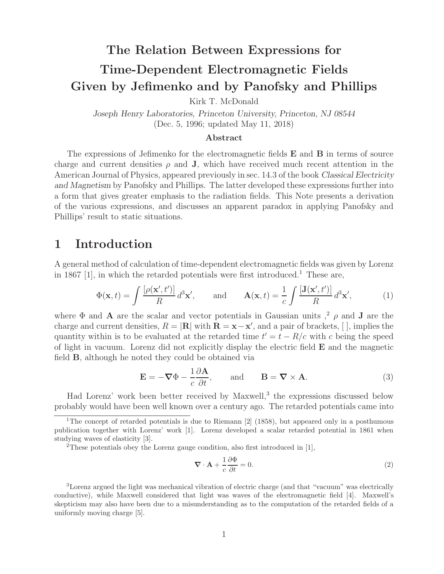# **The Relation Between Expressions for Time-Dependent Electromagnetic Fields Given by Jefimenko and by Panofsky and Phillips**

Kirk T. McDonald

*Joseph Henry Laboratories, Princeton University, Princeton, NJ 08544* (Dec. 5, 1996; updated May 11, 2018)

#### **Abstract**

The expressions of Jefimenko for the electromagnetic fields **E** and **B** in terms of source charge and current densities  $\rho$  and **J**, which have received much recent attention in the American Journal of Physics, appeared previously in sec. 14.3 of the book *Classical Electricity and Magnetism* by Panofsky and Phillips. The latter developed these expressions further into a form that gives greater emphasis to the radiation fields. This Note presents a derivation of the various expressions, and discusses an apparent paradox in applying Panofsky and Phillips' result to static situations.

#### **1 Introduction**

A general method of calculation of time-dependent electromagnetic fields was given by Lorenz in 1867 [1], in which the retarded potentials were first introduced.<sup>1</sup> These are,

$$
\Phi(\mathbf{x},t) = \int \frac{\left[\rho(\mathbf{x}',t')\right]}{R} d^3 \mathbf{x}', \quad \text{and} \quad \mathbf{A}(\mathbf{x},t) = \frac{1}{c} \int \frac{\left[\mathbf{J}(\mathbf{x}',t')\right]}{R} d^3 \mathbf{x}', \quad (1)
$$

where  $\Phi$  and **A** are the scalar and vector potentials in Gaussian units  $\phi$  and **J** are the charge and current densities,  $R = |\mathbf{R}|$  with  $\mathbf{R} = \mathbf{x} - \mathbf{x}'$ , and a pair of brackets, [], implies the quantity within is to be evaluated at the retarded time  $t'=t-R/c$  with c being the speed of light in vacuum. Lorenz did not explicitly display the electric field **E** and the magnetic field **B**, although he noted they could be obtained via

$$
\mathbf{E} = -\nabla\Phi - \frac{1}{c}\frac{\partial\mathbf{A}}{\partial t}, \quad \text{and} \quad \mathbf{B} = \nabla \times \mathbf{A}.
$$
 (3)

Had Lorenz' work been better received by Maxwell, $3$  the expressions discussed below probably would have been well known over a century ago. The retarded potentials came into

$$
\nabla \cdot \mathbf{A} + \frac{1}{c} \frac{\partial \Phi}{\partial t} = 0. \tag{2}
$$

<sup>3</sup>Lorenz argued the light was mechanical vibration of electric charge (and that "vacuum" was electrically conductive), while Maxwell considered that light was waves of the electromagnetic field [4]. Maxwell's skepticism may also have been due to a misunderstanding as to the computation of the retarded fields of a uniformly moving charge [5].

<sup>&</sup>lt;sup>1</sup>The concept of retarded potentials is due to Riemann  $[2]$  (1858), but appeared only in a posthumous publication together with Lorenz' work [1]. Lorenz developed a scalar retarded potential in 1861 when studying waves of elasticity [3].

 $2$ These potentials obey the Lorenz gauge condition, also first introduced in [1],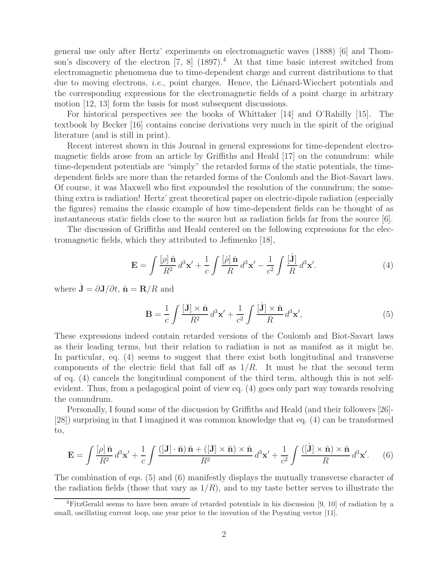general use only after Hertz' experiments on electromagnetic waves (1888) [6] and Thomson's discovery of the electron  $[7, 8]$   $(1897)^4$ . At that time basic interest switched from electromagnetic phenomena due to time-dependent charge and current distributions to that due to moving electrons, *i.e.*, point charges. Hence, the Liénard-Wiechert potentials and the corresponding expressions for the electromagnetic fields of a point charge in arbitrary motion [12, 13] form the basis for most subsequent discussions.

For historical perspectives see the books of Whittaker [14] and O'Rahilly [15]. The textbook by Becker [16] contains concise derivations very much in the spirit of the original literature (and is still in print).

Recent interest shown in this Journal in general expressions for time-dependent electromagnetic fields arose from an article by Griffiths and Heald [17] on the conundrum: while time-dependent potentials are "simply" the retarded forms of the static potentials, the timedependent fields are more than the retarded forms of the Coulomb and the Biot-Savart laws. Of course, it was Maxwell who first expounded the resolution of the conundrum; the something extra is radiation! Hertz' great theoretical paper on electric-dipole radiation (especially the figures) remains the classic example of how time-dependent fields can be thought of as instantaneous static fields close to the source but as radiation fields far from the source [6].

The discussion of Griffiths and Heald centered on the following expressions for the electromagnetic fields, which they attributed to Jefimenko [18],

$$
\mathbf{E} = \int \frac{[\rho] \,\hat{\mathbf{n}}}{R^2} \, d^3 \mathbf{x}' + \frac{1}{c} \int \frac{[\dot{\rho}] \,\hat{\mathbf{n}}}{R} \, d^3 \mathbf{x}' - \frac{1}{c^2} \int \frac{[\dot{\mathbf{J}}]}{R} \, d^3 \mathbf{x}'.\tag{4}
$$

where  $\dot{\mathbf{J}} = \partial \mathbf{J}/\partial t$ ,  $\hat{\mathbf{n}} = \mathbf{R}/R$  and

$$
\mathbf{B} = \frac{1}{c} \int \frac{[\mathbf{J}] \times \hat{\mathbf{n}}}{R^2} d^3 \mathbf{x}' + \frac{1}{c^2} \int \frac{[\dot{\mathbf{J}}] \times \hat{\mathbf{n}}}{R} d^3 \mathbf{x}',\tag{5}
$$

These expressions indeed contain retarded versions of the Coulomb and Biot-Savart laws as their leading terms, but their relation to radiation is not as manifest as it might be. In particular, eq. (4) seems to suggest that there exist both longitudinal and transverse components of the electric field that fall off as  $1/R$ . It must be that the second term of eq. (4) cancels the longitudinal component of the third term, although this is not selfevident. Thus, from a pedagogical point of view eq. (4) goes only part way towards resolving the conundrum.

Personally, I found some of the discussion by Griffiths and Heald (and their followers [26]- [28]) surprising in that I imagined it was common knowledge that eq. (4) can be transformed to,

$$
\mathbf{E} = \int \frac{[\rho] \,\hat{\mathbf{n}}}{R^2} \, d^3 \mathbf{x}' + \frac{1}{c} \int \frac{([\mathbf{J}] \cdot \hat{\mathbf{n}}) \,\hat{\mathbf{n}} + ([\mathbf{J}] \times \hat{\mathbf{n}}) \times \hat{\mathbf{n}}}{R^2} \, d^3 \mathbf{x}' + \frac{1}{c^2} \int \frac{([\mathbf{j}] \times \hat{\mathbf{n}}) \times \hat{\mathbf{n}}}{R} \, d^3 \mathbf{x}'. \tag{6}
$$

The combination of eqs. (5) and (6) manifestly displays the mutually transverse character of the radiation fields (those that vary as  $1/R$ ), and to my taste better serves to illustrate the

<sup>4</sup>FitzGerald seems to have been aware of retarded potentials in his discussion [9, 10] of radiation by a small, oscillating current loop, one year prior to the invention of the Poynting vector [11].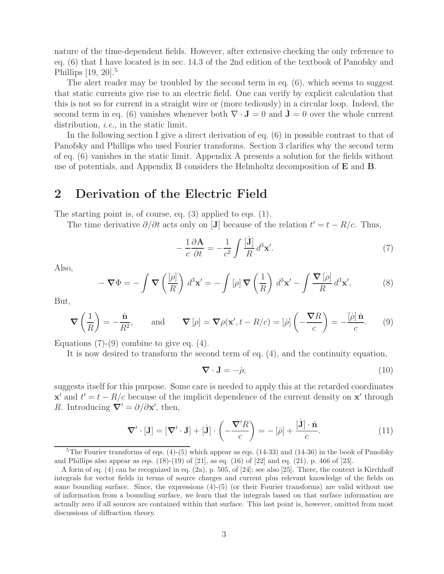nature of the time-dependent fields. However, after extensive checking the only reference to eq. (6) that I have located is in sec. 14.3 of the 2nd edition of the textbook of Panofsky and Phillips  $[19, 20]$ <sup>5</sup>

The alert reader may be troubled by the second term in eq.  $(6)$ , which seems to suggest that static currents give rise to an electric field. One can verify by explicit calculation that this is not so for current in a straight wire or (more tediously) in a circular loop. Indeed, the second term in eq. (6) vanishes whenever both  $\nabla \cdot \mathbf{J} = 0$  and  $\mathbf{J} = 0$  over the whole current distribution, *i.e.*, in the static limit.

In the following section I give a direct derivation of eq. (6) in possible contrast to that of Panofsky and Phillips who used Fourier transforms. Section 3 clarifies why the second term of eq. (6) vanishes in the static limit. Appendix A presents a solution for the fields without use of potentials, and Appendix B considers the Helmholtz decomposition of **E** and **B**.

### **2 Derivation of the Electric Field**

The starting point is, of course, eq. (3) applied to eqs. (1).

The time derivative  $\partial/\partial t$  acts only on [**J**] because of the relation  $t' = t - R/c$ . Thus,

$$
-\frac{1}{c}\frac{\partial \mathbf{A}}{\partial t} = -\frac{1}{c^2} \int \frac{[\mathbf{j}]}{R} d^3 \mathbf{x}'.\tag{7}
$$

Also,

$$
-\nabla\Phi = -\int \nabla\left(\frac{[\rho]}{R}\right) d^3 \mathbf{x}' = -\int [\rho] \nabla\left(\frac{1}{R}\right) d^3 \mathbf{x}' - \int \frac{\nabla[\rho]}{R} d^3 \mathbf{x}'.\tag{8}
$$

But,

$$
\nabla \left( \frac{1}{R} \right) = -\frac{\hat{\mathbf{n}}}{R^2}, \quad \text{and} \quad \nabla \left[ \rho \right] = \nabla \rho(\mathbf{x}', t - R/c) = \left[ \dot{\rho} \right] \left( -\frac{\nabla R}{c} \right) = -\frac{\left[ \dot{\rho} \right] \hat{\mathbf{n}}}{c}. \quad (9)
$$

Equations  $(7)-(9)$  combine to give eq.  $(4)$ .

It is now desired to transform the second term of eq. (4), and the continuity equation,

$$
\nabla \cdot \mathbf{J} = -\dot{\rho},\tag{10}
$$

suggests itself for this purpose. Some care is needed to apply this at the retarded coordinates **x**<sup> $\alpha$ </sup> and  $t' = t - R/c$  because of the implicit dependence of the current density on **x**<sup> $\alpha$ </sup> through R. Introducing  $\mathbf{\nabla}' = \partial/\partial \mathbf{x}'$ , then,

$$
\nabla' \cdot [\mathbf{J}] = [\nabla' \cdot \mathbf{J}] + [\dot{\mathbf{J}}] \cdot \left( -\frac{\nabla' R}{c} \right) = -[\dot{\rho}] + \frac{[\dot{\mathbf{J}}] \cdot \hat{\mathbf{n}}}{c}.
$$
 (11)

<sup>&</sup>lt;sup>5</sup>The Fourier transforms of eqs.  $(4)-(5)$  which appear as eqs.  $(14-33)$  and  $(14-36)$  in the book of Panofsky and Phillips also appear as eqs.  $(18)-(19)$  of [21], as eq.  $(16)$  of [22] and eq.  $(21)$ , p. 466 of [23].

A form of eq. (4) can be recognized in eq. (2a), p. 505, of [24]; see also [25]. There, the context is Kirchhoff integrals for vector fields in terms of source charges and current plus relevant knowledge of the fields on some bounding surface. Since, the expressions (4)-(5) (or their Fourier transforms) are valid without use of information from a bounding surface, we learn that the integrals based on that surface information are actually zero if all sources are contained within that surface. This last point is, however, omitted from most discussions of diffraction theory.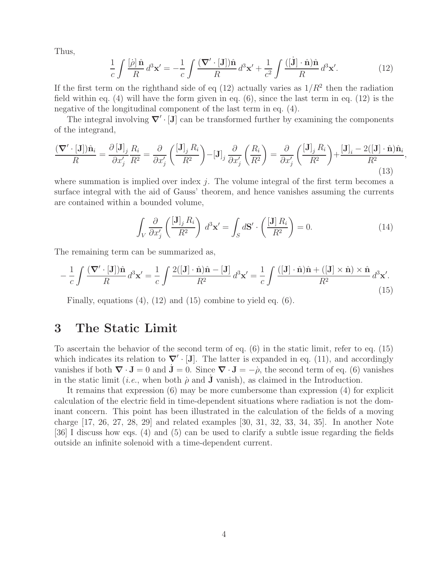Thus,

$$
\frac{1}{c} \int \frac{[\dot{\rho}]\hat{\mathbf{n}}}{R} d^3 \mathbf{x}' = -\frac{1}{c} \int \frac{(\mathbf{\nabla}' \cdot [\mathbf{J}])\hat{\mathbf{n}}}{R} d^3 \mathbf{x}' + \frac{1}{c^2} \int \frac{([\dot{\mathbf{J}}] \cdot \hat{\mathbf{n}})\hat{\mathbf{n}}}{R} d^3 \mathbf{x}'. \tag{12}
$$

If the first term on the righthand side of eq (12) actually varies as  $1/R^2$  then the radiation field within eq.  $(4)$  will have the form given in eq.  $(6)$ , since the last term in eq.  $(12)$  is the negative of the longitudinal component of the last term in eq. (4).

The integral involving  $∇' \cdot [J]$  can be transformed further by examining the components of the integrand,

$$
\frac{(\nabla' \cdot [\mathbf{J}])\hat{\mathbf{n}}_i}{R} = \frac{\partial [\mathbf{J}]_j}{\partial x'_j} \frac{R_i}{R^2} = \frac{\partial}{\partial x'_j} \left( \frac{[\mathbf{J}]_j R_i}{R^2} \right) - [\mathbf{J}]_j \frac{\partial}{\partial x'_j} \left( \frac{R_i}{R^2} \right) = \frac{\partial}{\partial x'_j} \left( \frac{[\mathbf{J}]_j R_i}{R^2} \right) + \frac{[\mathbf{J}]_i - 2([\mathbf{J}] \cdot \hat{\mathbf{n}}) \hat{\mathbf{n}}_i}{R^2},\tag{13}
$$

where summation is implied over index j. The volume integral of the first term becomes a surface integral with the aid of Gauss' theorem, and hence vanishes assuming the currents are contained within a bounded volume,

$$
\int_{V} \frac{\partial}{\partial x'_{j}} \left( \frac{[\mathbf{J}]_{j} R_{i}}{R^{2}} \right) d^{3} \mathbf{x}' = \int_{S} d\mathbf{S}' \cdot \left( \frac{[\mathbf{J}] R_{i}}{R^{2}} \right) = 0.
$$
\n(14)

The remaining term can be summarized as,

$$
-\frac{1}{c}\int \frac{(\boldsymbol{\nabla}' \cdot [\mathbf{J}])\hat{\mathbf{n}}}{R}d^3\mathbf{x}' = \frac{1}{c}\int \frac{2([\mathbf{J}] \cdot \hat{\mathbf{n}})\hat{\mathbf{n}} - [\mathbf{J}]}{R^2}d^3\mathbf{x}' = \frac{1}{c}\int \frac{([\mathbf{J}] \cdot \hat{\mathbf{n}})\hat{\mathbf{n}} + ([\mathbf{J}] \times \hat{\mathbf{n}}) \times \hat{\mathbf{n}}}{R^2}d^3\mathbf{x}'.\tag{15}
$$

Finally, equations (4), (12) and (15) combine to yield eq. (6).

### **3 The Static Limit**

To ascertain the behavior of the second term of eq. (6) in the static limit, refer to eq. (15) which indicates its relation to  $\nabla$  · [**J**]. The latter is expanded in eq. (11), and accordingly vanishes if both  $\nabla \cdot \mathbf{J} = 0$  and  $\mathbf{J} = 0$ . Since  $\nabla \cdot \mathbf{J} = -\dot{\rho}$ , the second term of eq. (6) vanishes in the static limit (*i.e.*, when both  $\rho$  and **J** vanish), as claimed in the Introduction.

It remains that expression (6) may be more cumbersome than expression (4) for explicit calculation of the electric field in time-dependent situations where radiation is not the dominant concern. This point has been illustrated in the calculation of the fields of a moving charge [17, 26, 27, 28, 29] and related examples [30, 31, 32, 33, 34, 35]. In another Note [36] I discuss how eqs. (4) and (5) can be used to clarify a subtle issue regarding the fields outside an infinite solenoid with a time-dependent current.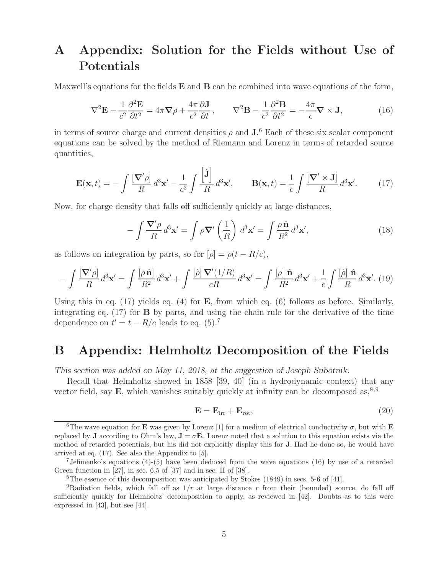# **A Appendix: Solution for the Fields without Use of Potentials**

Maxwell's equations for the fields **E** and **B** can be combined into wave equations of the form,

$$
\nabla^2 \mathbf{E} - \frac{1}{c^2} \frac{\partial^2 \mathbf{E}}{\partial t^2} = 4\pi \nabla \rho + \frac{4\pi}{c^2} \frac{\partial \mathbf{J}}{\partial t}, \qquad \nabla^2 \mathbf{B} - \frac{1}{c^2} \frac{\partial^2 \mathbf{B}}{\partial t^2} = -\frac{4\pi}{c} \nabla \times \mathbf{J}, \tag{16}
$$

in terms of source charge and current densities  $\rho$  and  $J^6$ . Each of these six scalar component equations can be solved by the method of Riemann and Lorenz in terms of retarded source quantities,

$$
\mathbf{E}(\mathbf{x},t) = -\int \frac{[\mathbf{\nabla}' \rho]}{R} d^3 \mathbf{x}' - \frac{1}{c^2} \int \frac{\left[\mathbf{j}\right]}{R} d^3 \mathbf{x}', \qquad \mathbf{B}(\mathbf{x},t) = \frac{1}{c} \int \frac{[\mathbf{\nabla}' \times \mathbf{J}]}{R} d^3 \mathbf{x}'. \tag{17}
$$

Now, for charge density that falls off sufficiently quickly at large distances,

$$
-\int \frac{\nabla' \rho}{R} d^3 \mathbf{x}' = \int \rho \nabla' \left(\frac{1}{R}\right) d^3 \mathbf{x}' = \int \frac{\rho \,\hat{\mathbf{n}}}{R^2} d^3 \mathbf{x}',\tag{18}
$$

as follows on integration by parts, so for  $[\rho] = \rho(t - R/c)$ ,

$$
-\int \frac{\left[\nabla'\rho\right]}{R} d^3\mathbf{x}' = \int \frac{\left[\rho\,\hat{\mathbf{n}}\right]}{R^2} d^3\mathbf{x}' + \int \frac{\left[\dot{\rho}\right]\nabla'(1/R)}{cR} d^3\mathbf{x}' = \int \frac{\left[\rho\right]\,\hat{\mathbf{n}}}{R^2} d^3\mathbf{x}' + \frac{1}{c} \int \frac{\left[\dot{\rho}\right]\,\hat{\mathbf{n}}}{R} d^3\mathbf{x}'.\tag{19}
$$

Using this in eq. (17) yields eq. (4) for **E**, from which eq. (6) follows as before. Similarly, integrating eq. (17) for **B** by parts, and using the chain rule for the derivative of the time dependence on  $t' = t - R/c$  leads to eq. (5).<sup>7</sup>

### **B Appendix: Helmholtz Decomposition of the Fields**

*This section was added on May 11, 2018, at the suggestion of Joseph Subotnik.*

Recall that Helmholtz showed in 1858 [39, 40] (in a hydrodynamic context) that any vector field, say  $\bf{E}$ , which vanishes suitably quickly at infinity can be decomposed as,  $8.9$ 

$$
\mathbf{E} = \mathbf{E}_{irr} + \mathbf{E}_{rot},\tag{20}
$$

<sup>&</sup>lt;sup>6</sup>The wave equation for **E** was given by Lorenz [1] for a medium of electrical conductivity  $\sigma$ , but with **E** replaced by **J** according to Ohm's law,  $\mathbf{J} = \sigma \mathbf{E}$ . Lorenz noted that a solution to this equation exists via the method of retarded potentials, but his did not explicitly display this for **J**. Had he done so, he would have arrived at eq. (17). See also the Appendix to [5].

<sup>7</sup>Jefimenko's equations (4)-(5) have been deduced from the wave equations (16) by use of a retarded Green function in [27], in sec. 6.5 of [37] and in sec. II of [38].

<sup>8</sup>The essence of this decomposition was anticipated by Stokes (1849) in secs. 5-6 of [41].

<sup>&</sup>lt;sup>9</sup>Radiation fields, which fall off as  $1/r$  at large distance r from their (bounded) source, do fall off sufficiently quickly for Helmholtz' decomposition to apply, as reviewed in [42]. Doubts as to this were expressed in [43], but see [44].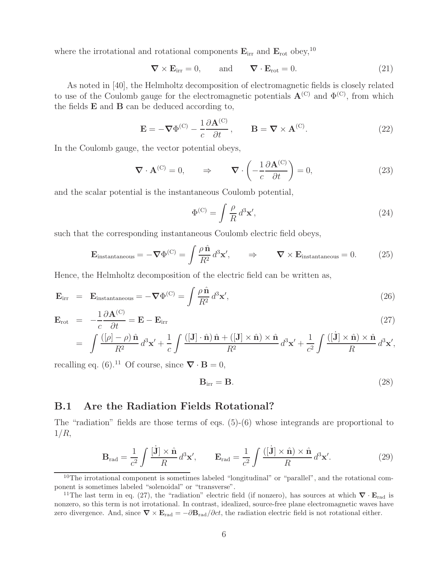where the irrotational and rotational components  $\mathbf{E}_{irr}$  and  $\mathbf{E}_{rot}$  obey,<sup>10</sup>

$$
\nabla \times \mathbf{E}_{irr} = 0, \quad \text{and} \quad \nabla \cdot \mathbf{E}_{rot} = 0. \tag{21}
$$

As noted in [40], the Helmholtz decomposition of electromagnetic fields is closely related to use of the Coulomb gauge for the electromagnetic potentials  $\mathbf{A}^{(C)}$  and  $\Phi^{(C)}$ , from which the fields **E** and **B** can be deduced according to,

$$
\mathbf{E} = -\nabla \Phi^{(C)} - \frac{1}{c} \frac{\partial \mathbf{A}^{(C)}}{\partial t}, \qquad \mathbf{B} = \nabla \times \mathbf{A}^{(C)}.
$$
 (22)

In the Coulomb gauge, the vector potential obeys,

$$
\nabla \cdot \mathbf{A}^{(C)} = 0, \qquad \Rightarrow \qquad \nabla \cdot \left( -\frac{1}{c} \frac{\partial \mathbf{A}^{(C)}}{\partial t} \right) = 0, \tag{23}
$$

and the scalar potential is the instantaneous Coulomb potential,

$$
\Phi^{(C)} = \int \frac{\rho}{R} d^3 \mathbf{x}',\tag{24}
$$

such that the corresponding instantaneous Coulomb electric field obeys,

$$
\mathbf{E}_{\text{instantaneous}} = -\nabla \Phi^{(C)} = \int \frac{\rho \,\hat{\mathbf{n}}}{R^2} \, d^3 \mathbf{x}', \qquad \Rightarrow \qquad \nabla \times \mathbf{E}_{\text{instantaneous}} = 0. \tag{25}
$$

Hence, the Helmholtz decomposition of the electric field can be written as,

$$
\mathbf{E}_{irr} = \mathbf{E}_{instantaneous} = -\nabla \Phi^{(C)} = \int \frac{\rho \,\hat{\mathbf{n}}}{R^2} \, d^3 \mathbf{x}',\tag{26}
$$

$$
\mathbf{E}_{\rm rot} = -\frac{1}{c} \frac{\partial \mathbf{A}^{(C)}}{\partial t} = \mathbf{E} - \mathbf{E}_{\rm irr}
$$
\n(27)

$$
= \int \frac{([\rho] - \rho) \hat{\mathbf{n}}}{R^2} d^3 \mathbf{x}' + \frac{1}{c} \int \frac{([\mathbf{J}] \cdot \hat{\mathbf{n}}) \hat{\mathbf{n}} + ([\mathbf{J}] \times \hat{\mathbf{n}}) \times \hat{\mathbf{n}}}{R^2} d^3 \mathbf{x}' + \frac{1}{c^2} \int \frac{([\mathbf{J}] \times \hat{\mathbf{n}}) \times \hat{\mathbf{n}}}{R} d^3 \mathbf{x}',
$$

recalling eq. (6).<sup>11</sup> Of course, since  $\nabla \cdot \mathbf{B} = 0$ ,

$$
\mathbf{B}_{irr} = \mathbf{B}.\tag{28}
$$

#### **B.1 Are the Radiation Fields Rotational?**

The "radiation" fields are those terms of eqs. (5)-(6) whose integrands are proportional to  $1/R$ ,

$$
\mathbf{B}_{\rm rad} = \frac{1}{c^2} \int \frac{[\dot{\mathbf{J}}] \times \hat{\mathbf{n}}}{R} d^3 \mathbf{x}', \qquad \mathbf{E}_{\rm rad} = \frac{1}{c^2} \int \frac{([\dot{\mathbf{J}}] \times \hat{\mathbf{n}}) \times \hat{\mathbf{n}}}{R} d^3 \mathbf{x}'. \tag{29}
$$

<sup>&</sup>lt;sup>10</sup>The irrotational component is sometimes labeled "longitudinal" or "parallel", and the rotational component is sometimes labeled "solenoidal" or "transverse".

<sup>11</sup>The last term in eq. (27), the "radiation" electric field (if nonzero), has sources at which *<sup>∇</sup>* · **<sup>E</sup>**rad is nonzero, so this term is not irrotational. In contrast, idealized, source-free plane electromagnetic waves have zero divergence. And, since  $\nabla \times \mathbf{E}_{rad} = -\partial \mathbf{B}_{rad}/\partial ct$ , the radiation electric field is not rotational either.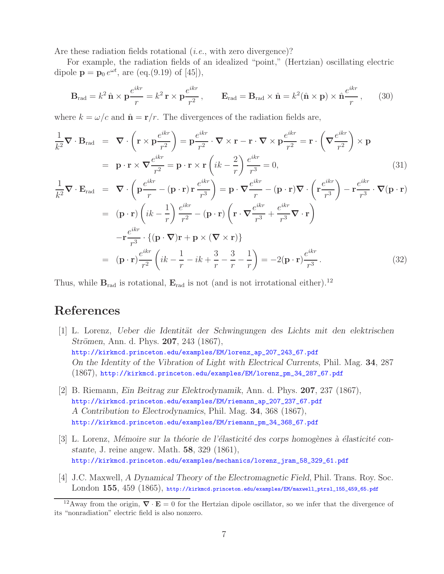Are these radiation fields rotational (*i.e.*, with zero divergence)?

For example, the radiation fields of an idealized "point," (Hertzian) oscillating electric dipole  $p = p_0 e^{\omega t}$ , are (eq.(9.19) of [45]),

$$
\mathbf{B}_{\text{rad}} = k^2 \,\hat{\mathbf{n}} \times \mathbf{p} \frac{e^{ikr}}{r} = k^2 \,\mathbf{r} \times \mathbf{p} \frac{e^{ikr}}{r^2}, \qquad \mathbf{E}_{\text{rad}} = \mathbf{B}_{\text{rad}} \times \hat{\mathbf{n}} = k^2 (\hat{\mathbf{n}} \times \mathbf{p}) \times \hat{\mathbf{n}} \frac{e^{ikr}}{r}, \qquad (30)
$$

where  $k = \omega/c$  and  $\hat{\mathbf{n}} = \mathbf{r}/r$ . The divergences of the radiation fields are,

$$
\frac{1}{k^2} \nabla \cdot \mathbf{B}_{rad} = \nabla \cdot \left( \mathbf{r} \times \mathbf{p} \frac{e^{ikr}}{r^2} \right) = \mathbf{p} \frac{e^{ikr}}{r^2} \cdot \nabla \times \mathbf{r} - \mathbf{r} \cdot \nabla \times \mathbf{p} \frac{e^{ikr}}{r^2} = \mathbf{r} \cdot \left( \nabla \frac{e^{ikr}}{r^2} \right) \times \mathbf{p}
$$
\n
$$
= \mathbf{p} \cdot \mathbf{r} \times \nabla \frac{e^{ikr}}{r^2} = \mathbf{p} \cdot \mathbf{r} \times \mathbf{r} \left( ik - \frac{2}{r} \right) \frac{e^{ikr}}{r^3} = 0,
$$
\n(31)

$$
\frac{1}{k^2} \nabla \cdot \mathbf{E}_{\text{rad}} = \nabla \cdot \left( \mathbf{p} \frac{e^{ikr}}{r} - (\mathbf{p} \cdot \mathbf{r}) \mathbf{r} \frac{e^{ikr}}{r^3} \right) = \mathbf{p} \cdot \nabla \frac{e^{ikr}}{r} - (\mathbf{p} \cdot \mathbf{r}) \nabla \cdot \left( \mathbf{r} \frac{e^{ikr}}{r^3} \right) - \mathbf{r} \frac{e^{ikr}}{r^3} \cdot \nabla (\mathbf{p} \cdot \mathbf{r})
$$
\n
$$
= (\mathbf{p} \cdot \mathbf{r}) \left( ik - \frac{1}{r} \right) \frac{e^{ikr}}{r^2} - (\mathbf{p} \cdot \mathbf{r}) \left( \mathbf{r} \cdot \nabla \frac{e^{ikr}}{r^3} + \frac{e^{ikr}}{r^3} \nabla \cdot \mathbf{r} \right)
$$
\n
$$
- \mathbf{r} \frac{e^{ikr}}{r^3} \cdot \{ (\mathbf{p} \cdot \nabla) \mathbf{r} + \mathbf{p} \times (\nabla \times \mathbf{r}) \}
$$
\n
$$
= (\mathbf{p} \cdot \mathbf{r}) \frac{e^{ikr}}{r^2} \left( ik - \frac{1}{r} - ik + \frac{3}{r} - \frac{3}{r} - \frac{1}{r} \right) = -2(\mathbf{p} \cdot \mathbf{r}) \frac{e^{ikr}}{r^3}.
$$
\n(32)

Thus, while  $\mathbf{B}_{rad}$  is rotational,  $\mathbf{E}_{rad}$  is not (and is not irrotational either).<sup>12</sup>

## **References**

- [1] L. Lorenz, *Ueber die Identit¨at der Schwingungen des Lichts mit den elektrischen Strömen, Ann. d. Phys. 207, 243 (1867),* http://kirkmcd.princeton.edu/examples/EM/lorenz\_ap\_207\_243\_67.pdf *On the Identity of the Vibration of Light with Electrical Currents*, Phil. Mag. **34**, 287 (1867), http://kirkmcd.princeton.edu/examples/EM/lorenz\_pm\_34\_287\_67.pdf
- [2] B. Riemann, *Ein Beitrag zur Elektrodynamik*, Ann. d. Phys. **207**, 237 (1867), http://kirkmcd.princeton.edu/examples/EM/riemann\_ap\_207\_237\_67.pdf *A Contribution to Electrodynamics*, Phil. Mag. **34**, 368 (1867), http://kirkmcd.princeton.edu/examples/EM/riemann\_pm\_34\_368\_67.pdf
- [3] L. Lorenz, *Mémoire sur la théorie de l'élasticité des corps homogènes à élasticité constante*, J. reine angew. Math. **58**, 329 (1861), http://kirkmcd.princeton.edu/examples/mechanics/lorenz\_jram\_58\_329\_61.pdf
- [4] J.C. Maxwell, *A Dynamical Theory of the Electromagnetic Field*, Phil. Trans. Roy. Soc. London **155**, 459 (1865), http://kirkmcd.princeton.edu/examples/EM/maxwell\_ptrsl\_155\_459\_65.pdf

<sup>&</sup>lt;sup>12</sup>Away from the origin,  $\nabla \cdot \mathbf{E} = 0$  for the Hertzian dipole oscillator, so we infer that the divergence of its "nonradiation" electric field is also nonzero.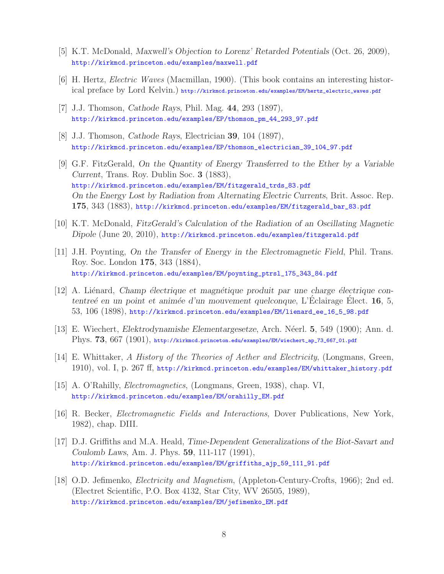- [5] K.T. McDonald, *Maxwell's Objection to Lorenz' Retarded Potentials* (Oct. 26, 2009), http://kirkmcd.princeton.edu/examples/maxwell.pdf
- [6] H. Hertz, *Electric Waves* (Macmillan, 1900). (This book contains an interesting historical preface by Lord Kelvin.) http://kirkmcd.princeton.edu/examples/EM/hertz\_electric\_waves.pdf
- [7] J.J. Thomson, *Cathode Rays*, Phil. Mag. **44**, 293 (1897), http://kirkmcd.princeton.edu/examples/EP/thomson\_pm\_44\_293\_97.pdf
- [8] J.J. Thomson, *Cathode Rays*, Electrician **39**, 104 (1897), http://kirkmcd.princeton.edu/examples/EP/thomson\_electrician\_39\_104\_97.pdf
- [9] G.F. FitzGerald, *On the Quantity of Energy Transferred to the Ether by a Variable Current*, Trans. Roy. Dublin Soc. **3** (1883), http://kirkmcd.princeton.edu/examples/EM/fitzgerald\_trds\_83.pdf *On the Energy Lost by Radiation from Alternating Electric Currents*, Brit. Assoc. Rep. **175**, 343 (1883), http://kirkmcd.princeton.edu/examples/EM/fitzgerald\_bar\_83.pdf
- [10] K.T. McDonald, *FitzGerald's Calculation of the Radiation of an Oscillating Magnetic Dipole* (June 20, 2010), http://kirkmcd.princeton.edu/examples/fitzgerald.pdf
- [11] J.H. Poynting, *On the Transfer of Energy in the Electromagnetic Field*, Phil. Trans. Roy. Soc. London **175**, 343 (1884), http://kirkmcd.princeton.edu/examples/EM/poynting\_ptrsl\_175\_343\_84.pdf
- [12] A. Liénard, *Champ électrique et magnétique produit par une charge électrique contentreé en un point et animée d'un mouvement quelconque*, L'Eclairage Elect. **16**, 5, 53, 106 (1898), http://kirkmcd.princeton.edu/examples/EM/lienard\_ee\_16\_5\_98.pdf
- [13] E. Wiechert, *Elektrodynamishe Elementargesetze*, Arch. N´eerl. **5**, 549 (1900); Ann. d. Phys. **73**, 667 (1901), http://kirkmcd.princeton.edu/examples/EM/wiechert\_ap\_73\_667\_01.pdf
- [14] E. Whittaker, *A History of the Theories of Aether and Electricity*, (Longmans, Green, 1910), vol. I, p. 267 ff, http://kirkmcd.princeton.edu/examples/EM/whittaker\_history.pdf
- [15] A. O'Rahilly, *Electromagnetics*, (Longmans, Green, 1938), chap. VI, http://kirkmcd.princeton.edu/examples/EM/orahilly\_EM.pdf
- [16] R. Becker, *Electromagnetic Fields and Interactions*, Dover Publications, New York, 1982), chap. DIII.
- [17] D.J. Griffiths and M.A. Heald, *Time-Dependent Generalizations of the Biot-Savart and Coulomb Laws*, Am. J. Phys. **59**, 111-117 (1991), http://kirkmcd.princeton.edu/examples/EM/griffiths\_ajp\_59\_111\_91.pdf
- [18] O.D. Jefimenko, *Electricity and Magnetism*, (Appleton-Century-Crofts, 1966); 2nd ed. (Electret Scientific, P.O. Box 4132, Star City, WV 26505, 1989), http://kirkmcd.princeton.edu/examples/EM/jefimenko\_EM.pdf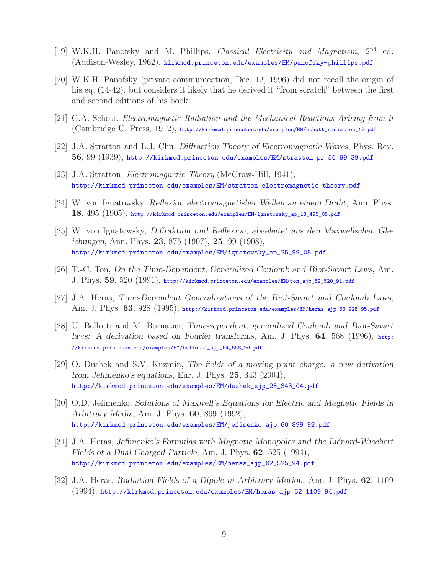- [19] W.K.H. Panofsky and M. Phillips, *Classical Electricity and Magnetism*, 2nd ed. (Addison-Wesley, 1962), kirkmcd.princeton.edu/examples/EM/panofsky-phillips.pdf
- [20] W.K.H. Panofsky (private communication, Dec. 12, 1996) did not recall the origin of his eq. (14-42), but considers it likely that he derived it "from scratch" between the first and second editions of his book.
- [21] G.A. Schott, *Electromagnetic Radiation and the Mechanical Reactions Arising from it* (Cambridge U. Press, 1912), http://kirkmcd.princeton.edu/examples/EM/schott\_radiation\_12.pdf
- [22] J.A. Stratton and L.J. Chu, *Diffraction Theory of Electromagnetic Waves*, Phys. Rev. **56**, 99 (1939), http://kirkmcd.princeton.edu/examples/EM/stratton\_pr\_56\_99\_39.pdf
- [23] J.A. Stratton, *Electromagnetic Theory* (McGraw-Hill, 1941), http://kirkmcd.princeton.edu/examples/EM/stratton\_electromagnetic\_theory.pdf
- [24] W. von Ignatowsky, *Reflexion electromagnetisher Wellen an einem Draht*, Ann. Phys. **18**, 495 (1905), http://kirkmcd.princeton.edu/examples/EM/ignatowsky\_ap\_18\_495\_05.pdf
- [25] W. von Ignatowsky, *Diffraktion und Reflexion, abgeleitet aus den Maxwellschen Gleichungen*, Ann. Phys. **23**, 875 (1907), **25**, 99 (1908), http://kirkmcd.princeton.edu/examples/EM/ignatowsky\_ap\_25\_99\_08.pdf
- [26] T.-C. Ton, *On the Time-Dependent, Generalized Coulomb and Biot-Savart Laws*, Am. J. Phys. **59**, 520 (1991), http://kirkmcd.princeton.edu/examples/EM/ton\_ajp\_59\_520\_91.pdf
- [27] J.A. Heras, *Time-Dependent Generalizations of the Biot-Savart and Coulomb Laws*, Am. J. Phys. **63**, 928 (1995), http://kirkmcd.princeton.edu/examples/EM/heras\_ajp\_63\_928\_95.pdf
- [28] U. Bellotti and M. Bornatici, *Time-sependent, generalized Coulomb and Biot-Savart laws: A derivation based on Fourier transforms*, Am. J. Phys. **64**, 568 (1996), http: //kirkmcd.princeton.edu/examples/EM/bellotti\_ajp\_64\_568\_96.pdf
- [29] O. Dushek and S.V. Kuzmin, *The fields of a moving point charge: a new derivation from Jefimenko's equations*, Eur. J. Phys. **25**, 343 (2004), http://kirkmcd.princeton.edu/examples/EM/dushek\_ejp\_25\_343\_04.pdf
- [30] O.D. Jefimenko, *Solutions of Maxwell's Equations for Electric and Magnetic Fields in Arbitrary Media*, Am. J. Phys. **60**, 899 (1992), http://kirkmcd.princeton.edu/examples/EM/jefimenko\_ajp\_60\_899\_92.pdf
- [31] J.A. Heras, *Jefimenko's Formulas with Magnetic Monopoles and the Liénard-Wiechert Fields of a Dual-Charged Particle*, Am. J. Phys. **62**, 525 (1994), http://kirkmcd.princeton.edu/examples/EM/heras\_ajp\_62\_525\_94.pdf
- [32] J.A. Heras, *Radiation Fields of a Dipole in Arbitrary Motion*, Am. J. Phys. **62**, 1109 (1994), http://kirkmcd.princeton.edu/examples/EM/heras\_ajp\_62\_1109\_94.pdf